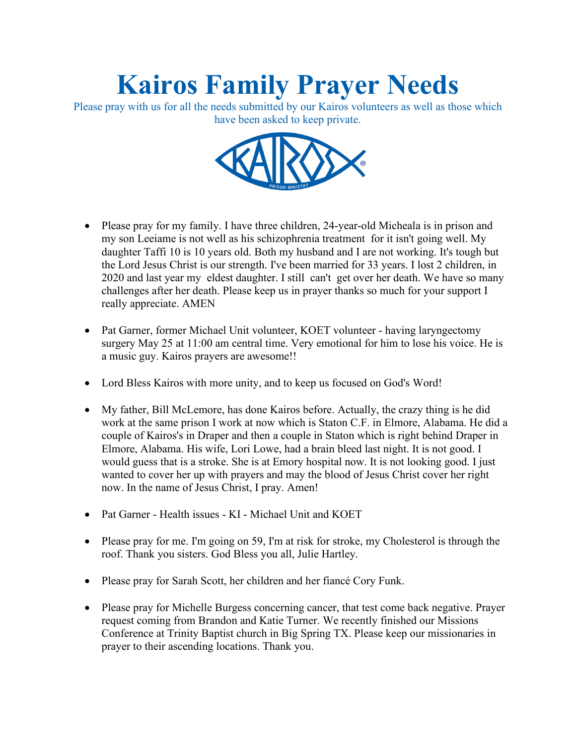## **Kairos Family Prayer Needs**

Please pray with us for all the needs submitted by our Kairos volunteers as well as those which have been asked to keep private.



- Please pray for my family. I have three children, 24-year-old Micheala is in prison and my son Leeiame is not well as his schizophrenia treatment for it isn't going well. My daughter Taffi 10 is 10 years old. Both my husband and I are not working. It's tough but the Lord Jesus Christ is our strength. I've been married for 33 years. I lost 2 children, in 2020 and last year my eldest daughter. I still can't get over her death. We have so many challenges after her death. Please keep us in prayer thanks so much for your support I really appreciate. AMEN
- Pat Garner, former Michael Unit volunteer, KOET volunteer having laryngectomy surgery May 25 at 11:00 am central time. Very emotional for him to lose his voice. He is a music guy. Kairos prayers are awesome!!
- Lord Bless Kairos with more unity, and to keep us focused on God's Word!
- My father, Bill McLemore, has done Kairos before. Actually, the crazy thing is he did work at the same prison I work at now which is Staton C.F. in Elmore, Alabama. He did a couple of Kairos's in Draper and then a couple in Staton which is right behind Draper in Elmore, Alabama. His wife, Lori Lowe, had a brain bleed last night. It is not good. I would guess that is a stroke. She is at Emory hospital now. It is not looking good. I just wanted to cover her up with prayers and may the blood of Jesus Christ cover her right now. In the name of Jesus Christ, I pray. Amen!
- Pat Garner Health issues KI Michael Unit and KOET
- Please pray for me. I'm going on 59, I'm at risk for stroke, my Cholesterol is through the roof. Thank you sisters. God Bless you all, Julie Hartley.
- Please pray for Sarah Scott, her children and her fiance Cory Funk.
- Please pray for Michelle Burgess concerning cancer, that test come back negative. Prayer request coming from Brandon and Katie Turner. We recently finished our Missions Conference at Trinity Baptist church in Big Spring TX. Please keep our missionaries in prayer to their ascending locations. Thank you.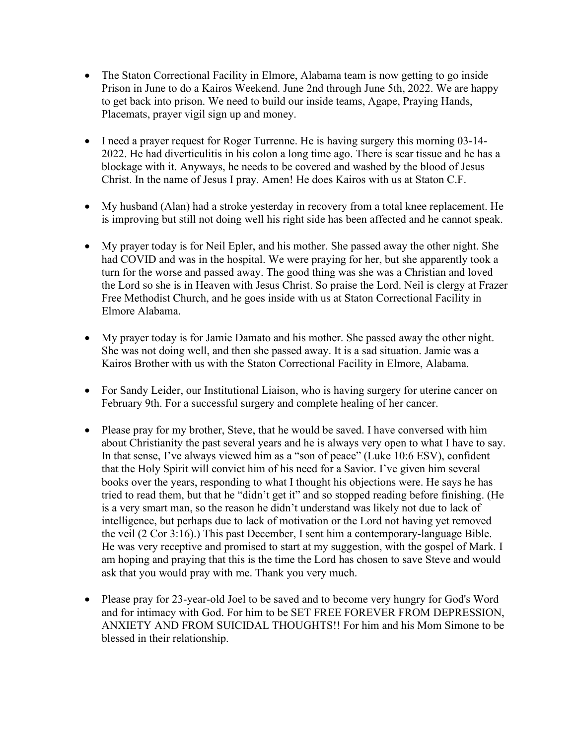- The Staton Correctional Facility in Elmore, Alabama team is now getting to go inside Prison in June to do a Kairos Weekend. June 2nd through June 5th, 2022. We are happy to get back into prison. We need to build our inside teams, Agape, Praying Hands, Placemats, prayer vigil sign up and money.
- I need a prayer request for Roger Turrenne. He is having surgery this morning 03-14- 2022. He had diverticulitis in his colon a long time ago. There is scar tissue and he has a blockage with it. Anyways, he needs to be covered and washed by the blood of Jesus Christ. In the name of Jesus I pray. Amen! He does Kairos with us at Staton C.F.
- My husband (Alan) had a stroke yesterday in recovery from a total knee replacement. He is improving but still not doing well his right side has been affected and he cannot speak.
- My prayer today is for Neil Epler, and his mother. She passed away the other night. She had COVID and was in the hospital. We were praying for her, but she apparently took a turn for the worse and passed away. The good thing was she was a Christian and loved the Lord so she is in Heaven with Jesus Christ. So praise the Lord. Neil is clergy at Frazer Free Methodist Church, and he goes inside with us at Staton Correctional Facility in Elmore Alabama.
- My prayer today is for Jamie Damato and his mother. She passed away the other night. She was not doing well, and then she passed away. It is a sad situation. Jamie was a Kairos Brother with us with the Staton Correctional Facility in Elmore, Alabama.
- For Sandy Leider, our Institutional Liaison, who is having surgery for uterine cancer on February 9th. For a successful surgery and complete healing of her cancer.
- Please pray for my brother, Steve, that he would be saved. I have conversed with him about Christianity the past several years and he is always very open to what I have to say. In that sense, I've always viewed him as a "son of peace" (Luke 10:6 ESV), confident that the Holy Spirit will convict him of his need for a Savior. I've given him several books over the years, responding to what I thought his objections were. He says he has tried to read them, but that he "didn't get it" and so stopped reading before finishing. (He is a very smart man, so the reason he didn't understand was likely not due to lack of intelligence, but perhaps due to lack of motivation or the Lord not having yet removed the veil (2 Cor 3:16).) This past December, I sent him a contemporary-language Bible. He was very receptive and promised to start at my suggestion, with the gospel of Mark. I am hoping and praying that this is the time the Lord has chosen to save Steve and would ask that you would pray with me. Thank you very much.
- Please pray for 23-year-old Joel to be saved and to become very hungry for God's Word and for intimacy with God. For him to be SET FREE FOREVER FROM DEPRESSION, ANXIETY AND FROM SUICIDAL THOUGHTS!! For him and his Mom Simone to be blessed in their relationship.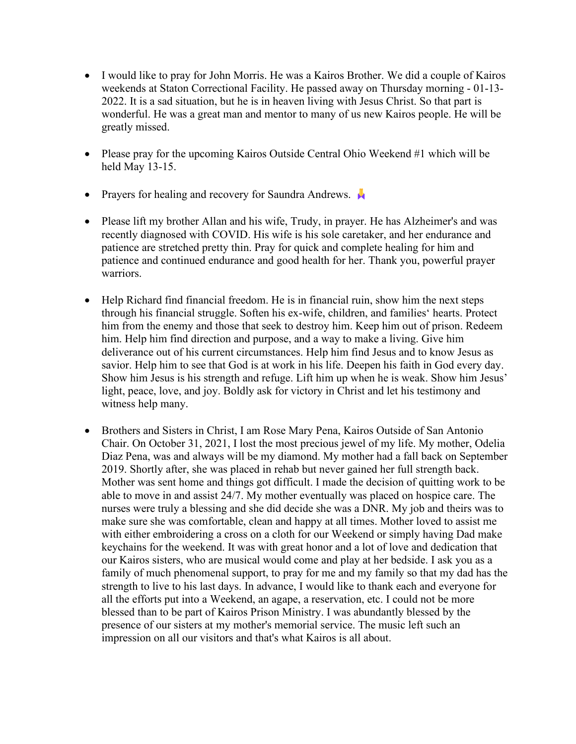- I would like to pray for John Morris. He was a Kairos Brother. We did a couple of Kairos weekends at Staton Correctional Facility. He passed away on Thursday morning - 01-13- 2022. It is a sad situation, but he is in heaven living with Jesus Christ. So that part is wonderful. He was a great man and mentor to many of us new Kairos people. He will be greatly missed.
- Please pray for the upcoming Kairos Outside Central Ohio Weekend #1 which will be held May 13-15.
- Prayers for healing and recovery for Saundra Andrews.  $\blacktriangleright$
- Please lift my brother Allan and his wife, Trudy, in prayer. He has Alzheimer's and was recently diagnosed with COVID. His wife is his sole caretaker, and her endurance and patience are stretched pretty thin. Pray for quick and complete healing for him and patience and continued endurance and good health for her. Thank you, powerful prayer warriors.
- Help Richard find financial freedom. He is in financial ruin, show him the next steps through his financial struggle. Soften his ex-wife, children, and families' hearts. Protect him from the enemy and those that seek to destroy him. Keep him out of prison. Redeem him. Help him find direction and purpose, and a way to make a living. Give him deliverance out of his current circumstances. Help him find Jesus and to know Jesus as savior. Help him to see that God is at work in his life. Deepen his faith in God every day. Show him Jesus is his strength and refuge. Lift him up when he is weak. Show him Jesus' light, peace, love, and joy. Boldly ask for victory in Christ and let his testimony and witness help many.
- Brothers and Sisters in Christ, I am Rose Mary Pena, Kairos Outside of San Antonio Chair. On October 31, 2021, I lost the most precious jewel of my life. My mother, Odelia Diaz Pena, was and always will be my diamond. My mother had a fall back on September 2019. Shortly after, she was placed in rehab but never gained her full strength back. Mother was sent home and things got difficult. I made the decision of quitting work to be able to move in and assist 24/7. My mother eventually was placed on hospice care. The nurses were truly a blessing and she did decide she was a DNR. My job and theirs was to make sure she was comfortable, clean and happy at all times. Mother loved to assist me with either embroidering a cross on a cloth for our Weekend or simply having Dad make keychains for the weekend. It was with great honor and a lot of love and dedication that our Kairos sisters, who are musical would come and play at her bedside. I ask you as a family of much phenomenal support, to pray for me and my family so that my dad has the strength to live to his last days. In advance, I would like to thank each and everyone for all the efforts put into a Weekend, an agape, a reservation, etc. I could not be more blessed than to be part of Kairos Prison Ministry. I was abundantly blessed by the presence of our sisters at my mother's memorial service. The music left such an impression on all our visitors and that's what Kairos is all about.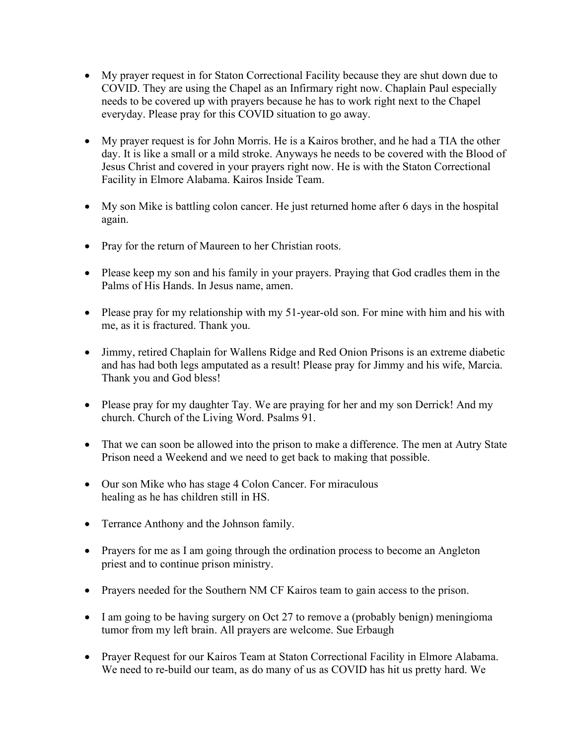- My prayer request in for Staton Correctional Facility because they are shut down due to COVID. They are using the Chapel as an Infirmary right now. Chaplain Paul especially needs to be covered up with prayers because he has to work right next to the Chapel everyday. Please pray for this COVID situation to go away.
- My prayer request is for John Morris. He is a Kairos brother, and he had a TIA the other day. It is like a small or a mild stroke. Anyways he needs to be covered with the Blood of Jesus Christ and covered in your prayers right now. He is with the Staton Correctional Facility in Elmore Alabama. Kairos Inside Team.
- My son Mike is battling colon cancer. He just returned home after 6 days in the hospital again.
- Pray for the return of Maureen to her Christian roots.
- Please keep my son and his family in your prayers. Praying that God cradles them in the Palms of His Hands. In Jesus name, amen.
- Please pray for my relationship with my 51-year-old son. For mine with him and his with me, as it is fractured. Thank you.
- Jimmy, retired Chaplain for Wallens Ridge and Red Onion Prisons is an extreme diabetic and has had both legs amputated as a result! Please pray for Jimmy and his wife, Marcia. Thank you and God bless!
- Please pray for my daughter Tay. We are praying for her and my son Derrick! And my church. Church of the Living Word. Psalms 91.
- That we can soon be allowed into the prison to make a difference. The men at Autry State Prison need a Weekend and we need to get back to making that possible.
- Our son Mike who has stage 4 Colon Cancer. For miraculous healing as he has children still in HS.
- Terrance Anthony and the Johnson family.
- Prayers for me as I am going through the ordination process to become an Angleton priest and to continue prison ministry.
- Prayers needed for the Southern NM CF Kairos team to gain access to the prison.
- I am going to be having surgery on Oct 27 to remove a (probably benign) meningioma tumor from my left brain. All prayers are welcome. Sue Erbaugh
- Prayer Request for our Kairos Team at Staton Correctional Facility in Elmore Alabama. We need to re-build our team, as do many of us as COVID has hit us pretty hard. We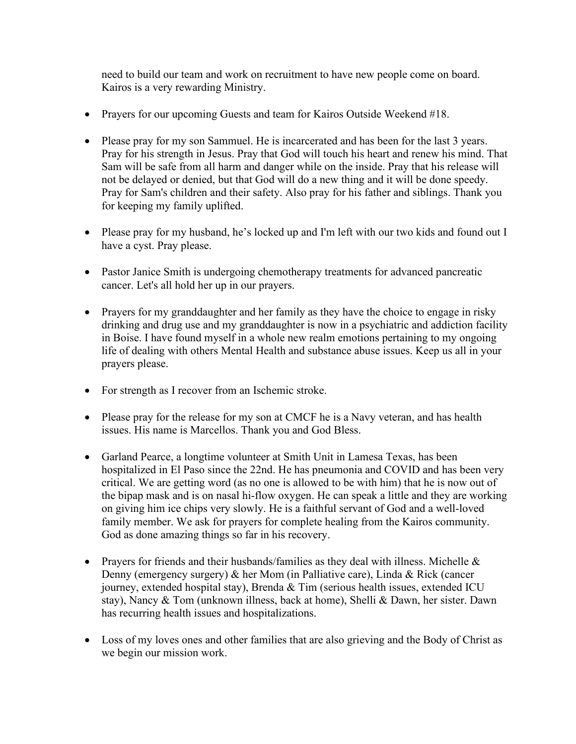need to build our team and work on recruitment to have new people come on board. Kairos is a very rewarding Ministry.

- Prayers for our upcoming Guests and team for Kairos Outside Weekend #18.
- Please pray for my son Sammuel. He is incarcerated and has been for the last 3 years. Pray for his strength in Jesus. Pray that God will touch his heart and renew his mind. That Sam will be safe from all harm and danger while on the inside. Pray that his release will not be delayed or denied, but that God will do a new thing and it will be done speedy. Pray for Sam's children and their safety. Also pray for his father and siblings. Thank you for keeping my family uplifted.
- Please pray for my husband, he's locked up and I'm left with our two kids and found out I have a cyst. Pray please.
- Pastor Janice Smith is undergoing chemotherapy treatments for advanced pancreatic cancer. Let's all hold her up in our prayers.
- Prayers for my granddaughter and her family as they have the choice to engage in risky drinking and drug use and my granddaughter is now in a psychiatric and addiction facility in Boise. I have found myself in a whole new realm emotions pertaining to my ongoing life of dealing with others Mental Health and substance abuse issues. Keep us all in your prayers please.
- For strength as I recover from an Ischemic stroke.
- Please pray for the release for my son at CMCF he is a Navy veteran, and has health issues. His name is Marcellos. Thank you and God Bless.
- Garland Pearce, a longtime volunteer at Smith Unit in Lamesa Texas, has been hospitalized in El Paso since the 22nd. He has pneumonia and COVID and has been very critical. We are getting word (as no one is allowed to be with him) that he is now out of the bipap mask and is on nasal hi-flow oxygen. He can speak a little and they are working on giving him ice chips very slowly. He is a faithful servant of God and a well-loved family member. We ask for prayers for complete healing from the Kairos community. God as done amazing things so far in his recovery.
- Prayers for friends and their husbands/families as they deal with illness. Michelle & Denny (emergency surgery) & her Mom (in Palliative care), Linda & Rick (cancer journey, extended hospital stay), Brenda & Tim (serious health issues, extended ICU stay), Nancy & Tom (unknown illness, back at home), Shelli & Dawn, her sister. Dawn has recurring health issues and hospitalizations.
- Loss of my loves ones and other families that are also grieving and the Body of Christ as we begin our mission work.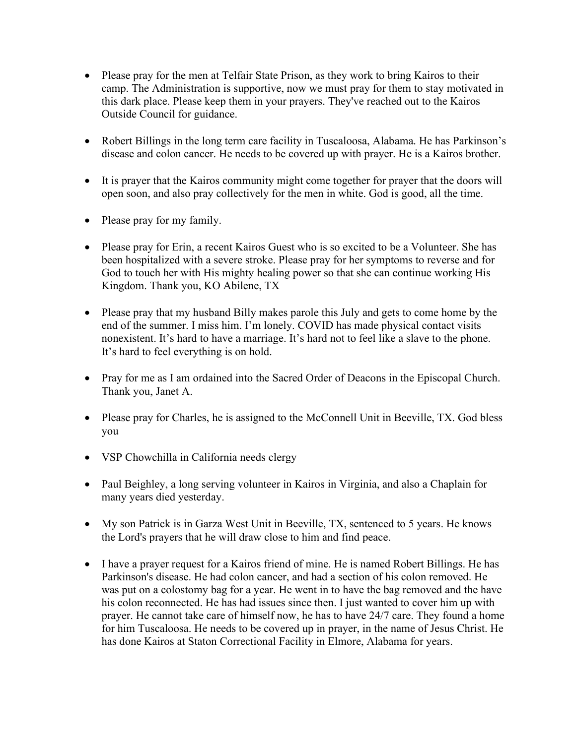- Please pray for the men at Telfair State Prison, as they work to bring Kairos to their camp. The Administration is supportive, now we must pray for them to stay motivated in this dark place. Please keep them in your prayers. They've reached out to the Kairos Outside Council for guidance.
- Robert Billings in the long term care facility in Tuscaloosa, Alabama. He has Parkinson's disease and colon cancer. He needs to be covered up with prayer. He is a Kairos brother.
- It is prayer that the Kairos community might come together for prayer that the doors will open soon, and also pray collectively for the men in white. God is good, all the time.
- Please pray for my family.
- Please pray for Erin, a recent Kairos Guest who is so excited to be a Volunteer. She has been hospitalized with a severe stroke. Please pray for her symptoms to reverse and for God to touch her with His mighty healing power so that she can continue working His Kingdom. Thank you, KO Abilene, TX
- Please pray that my husband Billy makes parole this July and gets to come home by the end of the summer. I miss him. I'm lonely. COVID has made physical contact visits nonexistent. It's hard to have a marriage. It's hard not to feel like a slave to the phone. It's hard to feel everything is on hold.
- Pray for me as I am ordained into the Sacred Order of Deacons in the Episcopal Church. Thank you, Janet A.
- Please pray for Charles, he is assigned to the McConnell Unit in Beeville, TX. God bless you
- VSP Chowchilla in California needs clergy
- Paul Beighley, a long serving volunteer in Kairos in Virginia, and also a Chaplain for many years died yesterday.
- My son Patrick is in Garza West Unit in Beeville, TX, sentenced to 5 years. He knows the Lord's prayers that he will draw close to him and find peace.
- I have a prayer request for a Kairos friend of mine. He is named Robert Billings. He has Parkinson's disease. He had colon cancer, and had a section of his colon removed. He was put on a colostomy bag for a year. He went in to have the bag removed and the have his colon reconnected. He has had issues since then. I just wanted to cover him up with prayer. He cannot take care of himself now, he has to have 24/7 care. They found a home for him Tuscaloosa. He needs to be covered up in prayer, in the name of Jesus Christ. He has done Kairos at Staton Correctional Facility in Elmore, Alabama for years.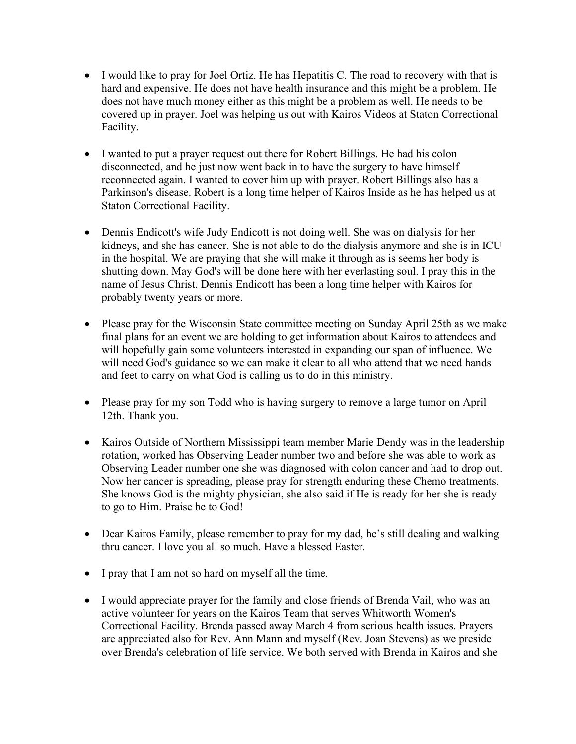- I would like to pray for Joel Ortiz. He has Hepatitis C. The road to recovery with that is hard and expensive. He does not have health insurance and this might be a problem. He does not have much money either as this might be a problem as well. He needs to be covered up in prayer. Joel was helping us out with Kairos Videos at Staton Correctional Facility.
- I wanted to put a prayer request out there for Robert Billings. He had his colon disconnected, and he just now went back in to have the surgery to have himself reconnected again. I wanted to cover him up with prayer. Robert Billings also has a Parkinson's disease. Robert is a long time helper of Kairos Inside as he has helped us at Staton Correctional Facility.
- Dennis Endicott's wife Judy Endicott is not doing well. She was on dialysis for her kidneys, and she has cancer. She is not able to do the dialysis anymore and she is in ICU in the hospital. We are praying that she will make it through as is seems her body is shutting down. May God's will be done here with her everlasting soul. I pray this in the name of Jesus Christ. Dennis Endicott has been a long time helper with Kairos for probably twenty years or more.
- Please pray for the Wisconsin State committee meeting on Sunday April 25th as we make final plans for an event we are holding to get information about Kairos to attendees and will hopefully gain some volunteers interested in expanding our span of influence. We will need God's guidance so we can make it clear to all who attend that we need hands and feet to carry on what God is calling us to do in this ministry.
- Please pray for my son Todd who is having surgery to remove a large tumor on April 12th. Thank you.
- Kairos Outside of Northern Mississippi team member Marie Dendy was in the leadership rotation, worked has Observing Leader number two and before she was able to work as Observing Leader number one she was diagnosed with colon cancer and had to drop out. Now her cancer is spreading, please pray for strength enduring these Chemo treatments. She knows God is the mighty physician, she also said if He is ready for her she is ready to go to Him. Praise be to God!
- Dear Kairos Family, please remember to pray for my dad, he's still dealing and walking thru cancer. I love you all so much. Have a blessed Easter.
- I pray that I am not so hard on myself all the time.
- I would appreciate prayer for the family and close friends of Brenda Vail, who was an active volunteer for years on the Kairos Team that serves Whitworth Women's Correctional Facility. Brenda passed away March 4 from serious health issues. Prayers are appreciated also for Rev. Ann Mann and myself (Rev. Joan Stevens) as we preside over Brenda's celebration of life service. We both served with Brenda in Kairos and she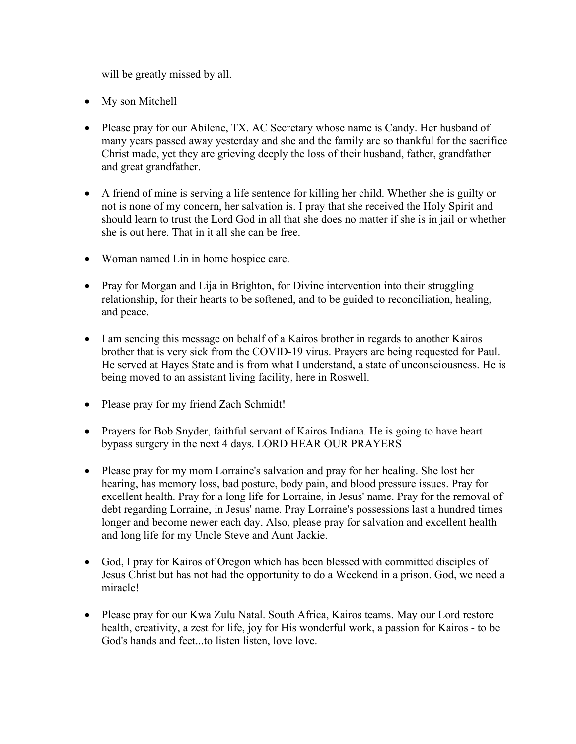will be greatly missed by all.

- My son Mitchell
- Please pray for our Abilene, TX. AC Secretary whose name is Candy. Her husband of many years passed away yesterday and she and the family are so thankful for the sacrifice Christ made, yet they are grieving deeply the loss of their husband, father, grandfather and great grandfather.
- A friend of mine is serving a life sentence for killing her child. Whether she is guilty or not is none of my concern, her salvation is. I pray that she received the Holy Spirit and should learn to trust the Lord God in all that she does no matter if she is in jail or whether she is out here. That in it all she can be free.
- Woman named Lin in home hospice care.
- Pray for Morgan and Lija in Brighton, for Divine intervention into their struggling relationship, for their hearts to be softened, and to be guided to reconciliation, healing, and peace.
- I am sending this message on behalf of a Kairos brother in regards to another Kairos brother that is very sick from the COVID-19 virus. Prayers are being requested for Paul. He served at Hayes State and is from what I understand, a state of unconsciousness. He is being moved to an assistant living facility, here in Roswell.
- Please pray for my friend Zach Schmidt!
- Prayers for Bob Snyder, faithful servant of Kairos Indiana. He is going to have heart bypass surgery in the next 4 days. LORD HEAR OUR PRAYERS
- Please pray for my mom Lorraine's salvation and pray for her healing. She lost her hearing, has memory loss, bad posture, body pain, and blood pressure issues. Pray for excellent health. Pray for a long life for Lorraine, in Jesus' name. Pray for the removal of debt regarding Lorraine, in Jesus' name. Pray Lorraine's possessions last a hundred times longer and become newer each day. Also, please pray for salvation and excellent health and long life for my Uncle Steve and Aunt Jackie.
- God, I pray for Kairos of Oregon which has been blessed with committed disciples of Jesus Christ but has not had the opportunity to do a Weekend in a prison. God, we need a miracle!
- Please pray for our Kwa Zulu Natal. South Africa, Kairos teams. May our Lord restore health, creativity, a zest for life, joy for His wonderful work, a passion for Kairos - to be God's hands and feet...to listen listen, love love.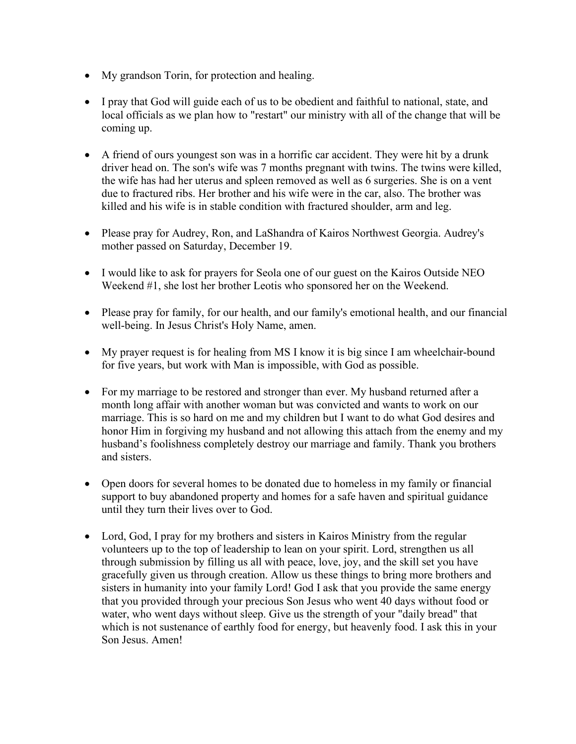- My grandson Torin, for protection and healing.
- I pray that God will guide each of us to be obedient and faithful to national, state, and local officials as we plan how to "restart" our ministry with all of the change that will be coming up.
- A friend of ours youngest son was in a horrific car accident. They were hit by a drunk driver head on. The son's wife was 7 months pregnant with twins. The twins were killed, the wife has had her uterus and spleen removed as well as 6 surgeries. She is on a vent due to fractured ribs. Her brother and his wife were in the car, also. The brother was killed and his wife is in stable condition with fractured shoulder, arm and leg.
- Please pray for Audrey, Ron, and LaShandra of Kairos Northwest Georgia. Audrey's mother passed on Saturday, December 19.
- I would like to ask for prayers for Seola one of our guest on the Kairos Outside NEO Weekend #1, she lost her brother Leotis who sponsored her on the Weekend.
- Please pray for family, for our health, and our family's emotional health, and our financial well-being. In Jesus Christ's Holy Name, amen.
- My prayer request is for healing from MS I know it is big since I am wheelchair-bound for five years, but work with Man is impossible, with God as possible.
- For my marriage to be restored and stronger than ever. My husband returned after a month long affair with another woman but was convicted and wants to work on our marriage. This is so hard on me and my children but I want to do what God desires and honor Him in forgiving my husband and not allowing this attach from the enemy and my husband's foolishness completely destroy our marriage and family. Thank you brothers and sisters.
- Open doors for several homes to be donated due to homeless in my family or financial support to buy abandoned property and homes for a safe haven and spiritual guidance until they turn their lives over to God.
- Lord, God, I pray for my brothers and sisters in Kairos Ministry from the regular volunteers up to the top of leadership to lean on your spirit. Lord, strengthen us all through submission by filling us all with peace, love, joy, and the skill set you have gracefully given us through creation. Allow us these things to bring more brothers and sisters in humanity into your family Lord! God I ask that you provide the same energy that you provided through your precious Son Jesus who went 40 days without food or water, who went days without sleep. Give us the strength of your "daily bread" that which is not sustenance of earthly food for energy, but heavenly food. I ask this in your Son Jesus. Amen!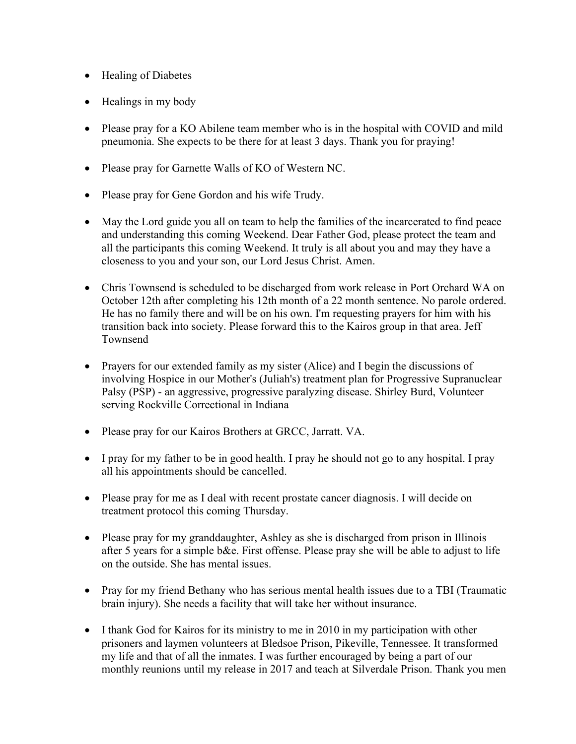- Healing of Diabetes
- Healings in my body
- Please pray for a KO Abilene team member who is in the hospital with COVID and mild pneumonia. She expects to be there for at least 3 days. Thank you for praying!
- Please pray for Garnette Walls of KO of Western NC.
- Please pray for Gene Gordon and his wife Trudy.
- May the Lord guide you all on team to help the families of the incarcerated to find peace and understanding this coming Weekend. Dear Father God, please protect the team and all the participants this coming Weekend. It truly is all about you and may they have a closeness to you and your son, our Lord Jesus Christ. Amen.
- Chris Townsend is scheduled to be discharged from work release in Port Orchard WA on October 12th after completing his 12th month of a 22 month sentence. No parole ordered. He has no family there and will be on his own. I'm requesting prayers for him with his transition back into society. Please forward this to the Kairos group in that area. Jeff Townsend
- Prayers for our extended family as my sister (Alice) and I begin the discussions of involving Hospice in our Mother's (Juliah's) treatment plan for Progressive Supranuclear Palsy (PSP) - an aggressive, progressive paralyzing disease. Shirley Burd, Volunteer serving Rockville Correctional in Indiana
- Please pray for our Kairos Brothers at GRCC, Jarratt. VA.
- I pray for my father to be in good health. I pray he should not go to any hospital. I pray all his appointments should be cancelled.
- Please pray for me as I deal with recent prostate cancer diagnosis. I will decide on treatment protocol this coming Thursday.
- Please pray for my granddaughter, Ashley as she is discharged from prison in Illinois after 5 years for a simple b&e. First offense. Please pray she will be able to adjust to life on the outside. She has mental issues.
- Pray for my friend Bethany who has serious mental health issues due to a TBI (Traumatic brain injury). She needs a facility that will take her without insurance.
- I thank God for Kairos for its ministry to me in 2010 in my participation with other prisoners and laymen volunteers at Bledsoe Prison, Pikeville, Tennessee. It transformed my life and that of all the inmates. I was further encouraged by being a part of our monthly reunions until my release in 2017 and teach at Silverdale Prison. Thank you men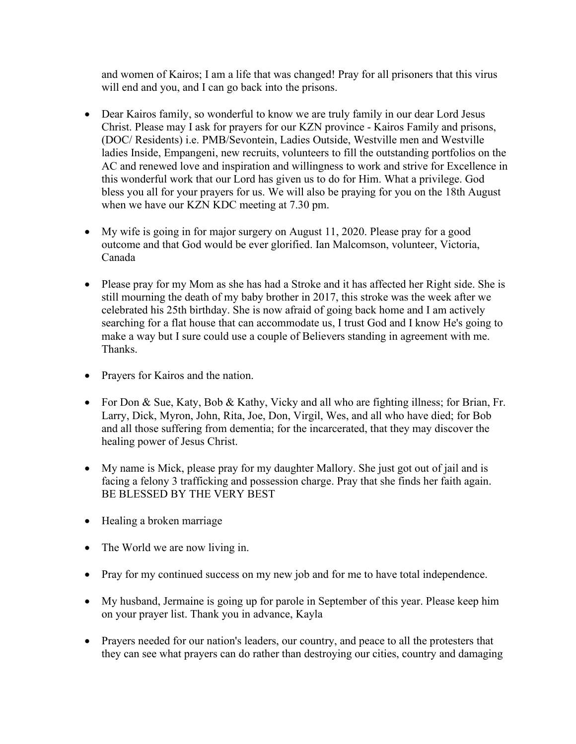and women of Kairos; I am a life that was changed! Pray for all prisoners that this virus will end and you, and I can go back into the prisons.

- Dear Kairos family, so wonderful to know we are truly family in our dear Lord Jesus Christ. Please may I ask for prayers for our KZN province - Kairos Family and prisons, (DOC/ Residents) i.e. PMB/Sevontein, Ladies Outside, Westville men and Westville ladies Inside, Empangeni, new recruits, volunteers to fill the outstanding portfolios on the AC and renewed love and inspiration and willingness to work and strive for Excellence in this wonderful work that our Lord has given us to do for Him. What a privilege. God bless you all for your prayers for us. We will also be praying for you on the 18th August when we have our KZN KDC meeting at 7.30 pm.
- My wife is going in for major surgery on August 11, 2020. Please pray for a good outcome and that God would be ever glorified. Ian Malcomson, volunteer, Victoria, Canada
- Please pray for my Mom as she has had a Stroke and it has affected her Right side. She is still mourning the death of my baby brother in 2017, this stroke was the week after we celebrated his 25th birthday. She is now afraid of going back home and I am actively searching for a flat house that can accommodate us, I trust God and I know He's going to make a way but I sure could use a couple of Believers standing in agreement with me. Thanks.
- Prayers for Kairos and the nation.
- For Don & Sue, Katy, Bob & Kathy, Vicky and all who are fighting illness; for Brian, Fr. Larry, Dick, Myron, John, Rita, Joe, Don, Virgil, Wes, and all who have died; for Bob and all those suffering from dementia; for the incarcerated, that they may discover the healing power of Jesus Christ.
- My name is Mick, please pray for my daughter Mallory. She just got out of jail and is facing a felony 3 trafficking and possession charge. Pray that she finds her faith again. BE BLESSED BY THE VERY BEST
- Healing a broken marriage
- The World we are now living in.
- Pray for my continued success on my new job and for me to have total independence.
- My husband, Jermaine is going up for parole in September of this year. Please keep him on your prayer list. Thank you in advance, Kayla
- Prayers needed for our nation's leaders, our country, and peace to all the protesters that they can see what prayers can do rather than destroying our cities, country and damaging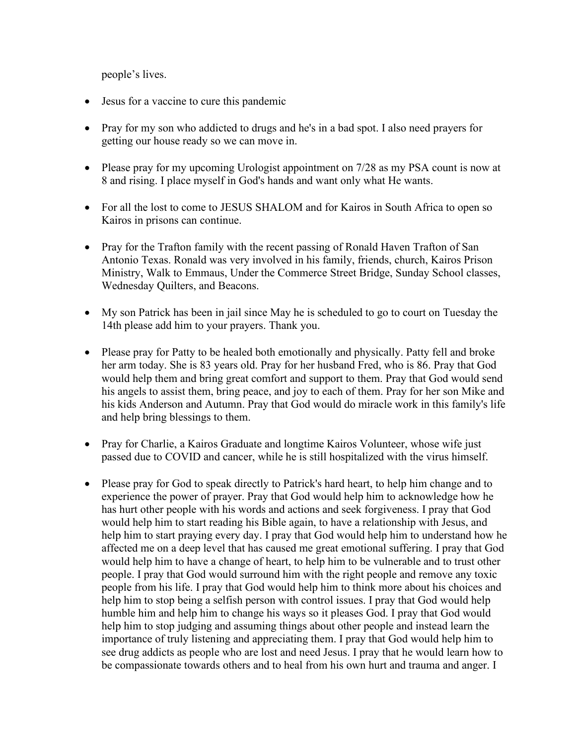people's lives.

- Jesus for a vaccine to cure this pandemic
- Pray for my son who addicted to drugs and he's in a bad spot. I also need prayers for getting our house ready so we can move in.
- Please pray for my upcoming Urologist appointment on 7/28 as my PSA count is now at 8 and rising. I place myself in God's hands and want only what He wants.
- For all the lost to come to JESUS SHALOM and for Kairos in South Africa to open so Kairos in prisons can continue.
- Pray for the Trafton family with the recent passing of Ronald Haven Trafton of San Antonio Texas. Ronald was very involved in his family, friends, church, Kairos Prison Ministry, Walk to Emmaus, Under the Commerce Street Bridge, Sunday School classes, Wednesday Quilters, and Beacons.
- My son Patrick has been in jail since May he is scheduled to go to court on Tuesday the 14th please add him to your prayers. Thank you.
- Please pray for Patty to be healed both emotionally and physically. Patty fell and broke her arm today. She is 83 years old. Pray for her husband Fred, who is 86. Pray that God would help them and bring great comfort and support to them. Pray that God would send his angels to assist them, bring peace, and joy to each of them. Pray for her son Mike and his kids Anderson and Autumn. Pray that God would do miracle work in this family's life and help bring blessings to them.
- Pray for Charlie, a Kairos Graduate and longtime Kairos Volunteer, whose wife just passed due to COVID and cancer, while he is still hospitalized with the virus himself.
- Please pray for God to speak directly to Patrick's hard heart, to help him change and to experience the power of prayer. Pray that God would help him to acknowledge how he has hurt other people with his words and actions and seek forgiveness. I pray that God would help him to start reading his Bible again, to have a relationship with Jesus, and help him to start praying every day. I pray that God would help him to understand how he affected me on a deep level that has caused me great emotional suffering. I pray that God would help him to have a change of heart, to help him to be vulnerable and to trust other people. I pray that God would surround him with the right people and remove any toxic people from his life. I pray that God would help him to think more about his choices and help him to stop being a selfish person with control issues. I pray that God would help humble him and help him to change his ways so it pleases God. I pray that God would help him to stop judging and assuming things about other people and instead learn the importance of truly listening and appreciating them. I pray that God would help him to see drug addicts as people who are lost and need Jesus. I pray that he would learn how to be compassionate towards others and to heal from his own hurt and trauma and anger. I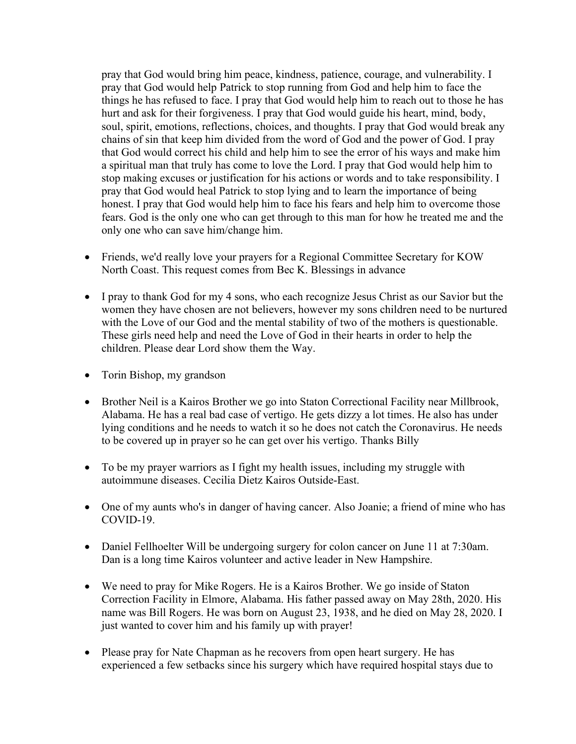pray that God would bring him peace, kindness, patience, courage, and vulnerability. I pray that God would help Patrick to stop running from God and help him to face the things he has refused to face. I pray that God would help him to reach out to those he has hurt and ask for their forgiveness. I pray that God would guide his heart, mind, body, soul, spirit, emotions, reflections, choices, and thoughts. I pray that God would break any chains of sin that keep him divided from the word of God and the power of God. I pray that God would correct his child and help him to see the error of his ways and make him a spiritual man that truly has come to love the Lord. I pray that God would help him to stop making excuses or justification for his actions or words and to take responsibility. I pray that God would heal Patrick to stop lying and to learn the importance of being honest. I pray that God would help him to face his fears and help him to overcome those fears. God is the only one who can get through to this man for how he treated me and the only one who can save him/change him.

- Friends, we'd really love your prayers for a Regional Committee Secretary for KOW North Coast. This request comes from Bec K. Blessings in advance
- I pray to thank God for my 4 sons, who each recognize Jesus Christ as our Savior but the women they have chosen are not believers, however my sons children need to be nurtured with the Love of our God and the mental stability of two of the mothers is questionable. These girls need help and need the Love of God in their hearts in order to help the children. Please dear Lord show them the Way.
- Torin Bishop, my grandson
- Brother Neil is a Kairos Brother we go into Staton Correctional Facility near Millbrook, Alabama. He has a real bad case of vertigo. He gets dizzy a lot times. He also has under lying conditions and he needs to watch it so he does not catch the Coronavirus. He needs to be covered up in prayer so he can get over his vertigo. Thanks Billy
- To be my prayer warriors as I fight my health issues, including my struggle with autoimmune diseases. Cecilia Dietz Kairos Outside-East.
- One of my aunts who's in danger of having cancer. Also Joanie; a friend of mine who has COVID-19.
- Daniel Fellhoelter Will be undergoing surgery for colon cancer on June 11 at 7:30am. Dan is a long time Kairos volunteer and active leader in New Hampshire.
- We need to pray for Mike Rogers. He is a Kairos Brother. We go inside of Staton Correction Facility in Elmore, Alabama. His father passed away on May 28th, 2020. His name was Bill Rogers. He was born on August 23, 1938, and he died on May 28, 2020. I just wanted to cover him and his family up with prayer!
- Please pray for Nate Chapman as he recovers from open heart surgery. He has experienced a few setbacks since his surgery which have required hospital stays due to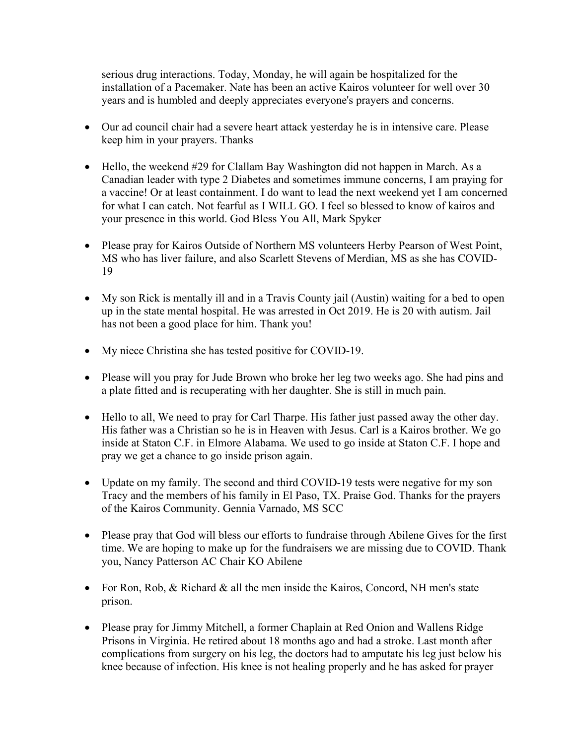serious drug interactions. Today, Monday, he will again be hospitalized for the installation of a Pacemaker. Nate has been an active Kairos volunteer for well over 30 years and is humbled and deeply appreciates everyone's prayers and concerns.

- Our ad council chair had a severe heart attack yesterday he is in intensive care. Please keep him in your prayers. Thanks
- Hello, the weekend #29 for Clallam Bay Washington did not happen in March. As a Canadian leader with type 2 Diabetes and sometimes immune concerns, I am praying for a vaccine! Or at least containment. I do want to lead the next weekend yet I am concerned for what I can catch. Not fearful as I WILL GO. I feel so blessed to know of kairos and your presence in this world. God Bless You All, Mark Spyker
- Please pray for Kairos Outside of Northern MS volunteers Herby Pearson of West Point, MS who has liver failure, and also Scarlett Stevens of Merdian, MS as she has COVID-19
- My son Rick is mentally ill and in a Travis County jail (Austin) waiting for a bed to open up in the state mental hospital. He was arrested in Oct 2019. He is 20 with autism. Jail has not been a good place for him. Thank you!
- My niece Christina she has tested positive for COVID-19.
- Please will you pray for Jude Brown who broke her leg two weeks ago. She had pins and a plate fitted and is recuperating with her daughter. She is still in much pain.
- Hello to all, We need to pray for Carl Tharpe. His father just passed away the other day. His father was a Christian so he is in Heaven with Jesus. Carl is a Kairos brother. We go inside at Staton C.F. in Elmore Alabama. We used to go inside at Staton C.F. I hope and pray we get a chance to go inside prison again.
- Update on my family. The second and third COVID-19 tests were negative for my son Tracy and the members of his family in El Paso, TX. Praise God. Thanks for the prayers of the Kairos Community. Gennia Varnado, MS SCC
- Please pray that God will bless our efforts to fundraise through Abilene Gives for the first time. We are hoping to make up for the fundraisers we are missing due to COVID. Thank you, Nancy Patterson AC Chair KO Abilene
- For Ron, Rob, & Richard & all the men inside the Kairos, Concord, NH men's state prison.
- Please pray for Jimmy Mitchell, a former Chaplain at Red Onion and Wallens Ridge Prisons in Virginia. He retired about 18 months ago and had a stroke. Last month after complications from surgery on his leg, the doctors had to amputate his leg just below his knee because of infection. His knee is not healing properly and he has asked for prayer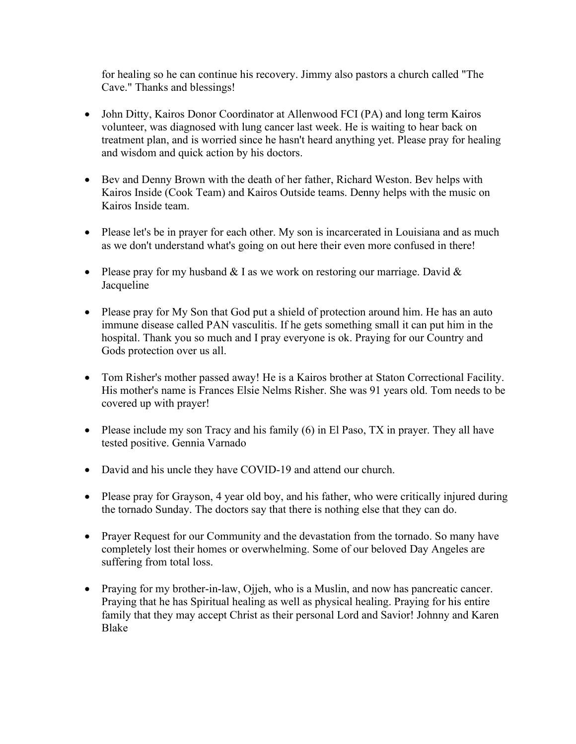for healing so he can continue his recovery. Jimmy also pastors a church called "The Cave." Thanks and blessings!

- John Ditty, Kairos Donor Coordinator at Allenwood FCI (PA) and long term Kairos volunteer, was diagnosed with lung cancer last week. He is waiting to hear back on treatment plan, and is worried since he hasn't heard anything yet. Please pray for healing and wisdom and quick action by his doctors.
- Bev and Denny Brown with the death of her father, Richard Weston. Bev helps with Kairos Inside (Cook Team) and Kairos Outside teams. Denny helps with the music on Kairos Inside team.
- Please let's be in prayer for each other. My son is incarcerated in Louisiana and as much as we don't understand what's going on out here their even more confused in there!
- Please pray for my husband  $& I$  as we work on restoring our marriage. David  $&$ **Jacqueline**
- Please pray for My Son that God put a shield of protection around him. He has an auto immune disease called PAN vasculitis. If he gets something small it can put him in the hospital. Thank you so much and I pray everyone is ok. Praying for our Country and Gods protection over us all.
- Tom Risher's mother passed away! He is a Kairos brother at Staton Correctional Facility. His mother's name is Frances Elsie Nelms Risher. She was 91 years old. Tom needs to be covered up with prayer!
- Please include my son Tracy and his family (6) in El Paso, TX in prayer. They all have tested positive. Gennia Varnado
- David and his uncle they have COVID-19 and attend our church.
- Please pray for Grayson, 4 year old boy, and his father, who were critically injured during the tornado Sunday. The doctors say that there is nothing else that they can do.
- Prayer Request for our Community and the devastation from the tornado. So many have completely lost their homes or overwhelming. Some of our beloved Day Angeles are suffering from total loss.
- Praying for my brother-in-law, Ojjeh, who is a Muslin, and now has pancreatic cancer. Praying that he has Spiritual healing as well as physical healing. Praying for his entire family that they may accept Christ as their personal Lord and Savior! Johnny and Karen Blake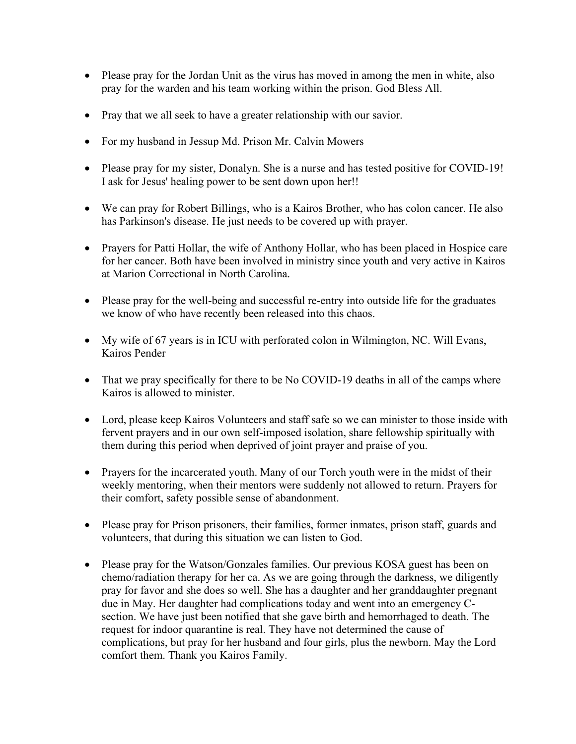- Please pray for the Jordan Unit as the virus has moved in among the men in white, also pray for the warden and his team working within the prison. God Bless All.
- Pray that we all seek to have a greater relationship with our savior.
- For my husband in Jessup Md. Prison Mr. Calvin Mowers
- Please pray for my sister, Donalyn. She is a nurse and has tested positive for COVID-19! I ask for Jesus' healing power to be sent down upon her!!
- We can pray for Robert Billings, who is a Kairos Brother, who has colon cancer. He also has Parkinson's disease. He just needs to be covered up with prayer.
- Prayers for Patti Hollar, the wife of Anthony Hollar, who has been placed in Hospice care for her cancer. Both have been involved in ministry since youth and very active in Kairos at Marion Correctional in North Carolina.
- Please pray for the well-being and successful re-entry into outside life for the graduates we know of who have recently been released into this chaos.
- My wife of 67 years is in ICU with perforated colon in Wilmington, NC. Will Evans, Kairos Pender
- That we pray specifically for there to be No COVID-19 deaths in all of the camps where Kairos is allowed to minister.
- Lord, please keep Kairos Volunteers and staff safe so we can minister to those inside with fervent prayers and in our own self-imposed isolation, share fellowship spiritually with them during this period when deprived of joint prayer and praise of you.
- Prayers for the incarcerated youth. Many of our Torch youth were in the midst of their weekly mentoring, when their mentors were suddenly not allowed to return. Prayers for their comfort, safety possible sense of abandonment.
- Please pray for Prison prisoners, their families, former inmates, prison staff, guards and volunteers, that during this situation we can listen to God.
- Please pray for the Watson/Gonzales families. Our previous KOSA guest has been on chemo/radiation therapy for her ca. As we are going through the darkness, we diligently pray for favor and she does so well. She has a daughter and her granddaughter pregnant due in May. Her daughter had complications today and went into an emergency Csection. We have just been notified that she gave birth and hemorrhaged to death. The request for indoor quarantine is real. They have not determined the cause of complications, but pray for her husband and four girls, plus the newborn. May the Lord comfort them. Thank you Kairos Family.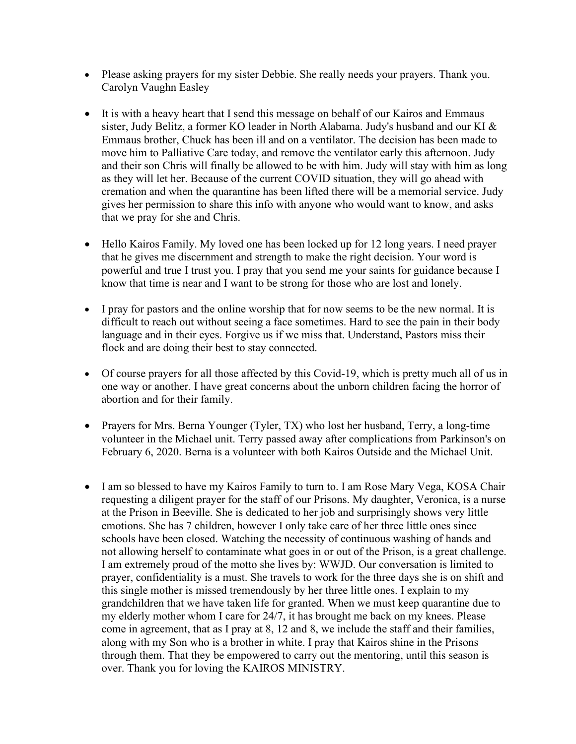- Please asking prayers for my sister Debbie. She really needs your prayers. Thank you. Carolyn Vaughn Easley
- It is with a heavy heart that I send this message on behalf of our Kairos and Emmaus sister, Judy Belitz, a former KO leader in North Alabama. Judy's husband and our KI & Emmaus brother, Chuck has been ill and on a ventilator. The decision has been made to move him to Palliative Care today, and remove the ventilator early this afternoon. Judy and their son Chris will finally be allowed to be with him. Judy will stay with him as long as they will let her. Because of the current COVID situation, they will go ahead with cremation and when the quarantine has been lifted there will be a memorial service. Judy gives her permission to share this info with anyone who would want to know, and asks that we pray for she and Chris.
- Hello Kairos Family. My loved one has been locked up for 12 long years. I need prayer that he gives me discernment and strength to make the right decision. Your word is powerful and true I trust you. I pray that you send me your saints for guidance because I know that time is near and I want to be strong for those who are lost and lonely.
- I pray for pastors and the online worship that for now seems to be the new normal. It is difficult to reach out without seeing a face sometimes. Hard to see the pain in their body language and in their eyes. Forgive us if we miss that. Understand, Pastors miss their flock and are doing their best to stay connected.
- Of course prayers for all those affected by this Covid-19, which is pretty much all of us in one way or another. I have great concerns about the unborn children facing the horror of abortion and for their family.
- Prayers for Mrs. Berna Younger (Tyler, TX) who lost her husband, Terry, a long-time volunteer in the Michael unit. Terry passed away after complications from Parkinson's on February 6, 2020. Berna is a volunteer with both Kairos Outside and the Michael Unit.
- I am so blessed to have my Kairos Family to turn to. I am Rose Mary Vega, KOSA Chair requesting a diligent prayer for the staff of our Prisons. My daughter, Veronica, is a nurse at the Prison in Beeville. She is dedicated to her job and surprisingly shows very little emotions. She has 7 children, however I only take care of her three little ones since schools have been closed. Watching the necessity of continuous washing of hands and not allowing herself to contaminate what goes in or out of the Prison, is a great challenge. I am extremely proud of the motto she lives by: WWJD. Our conversation is limited to prayer, confidentiality is a must. She travels to work for the three days she is on shift and this single mother is missed tremendously by her three little ones. I explain to my grandchildren that we have taken life for granted. When we must keep quarantine due to my elderly mother whom I care for 24/7, it has brought me back on my knees. Please come in agreement, that as I pray at 8, 12 and 8, we include the staff and their families, along with my Son who is a brother in white. I pray that Kairos shine in the Prisons through them. That they be empowered to carry out the mentoring, until this season is over. Thank you for loving the KAIROS MINISTRY.